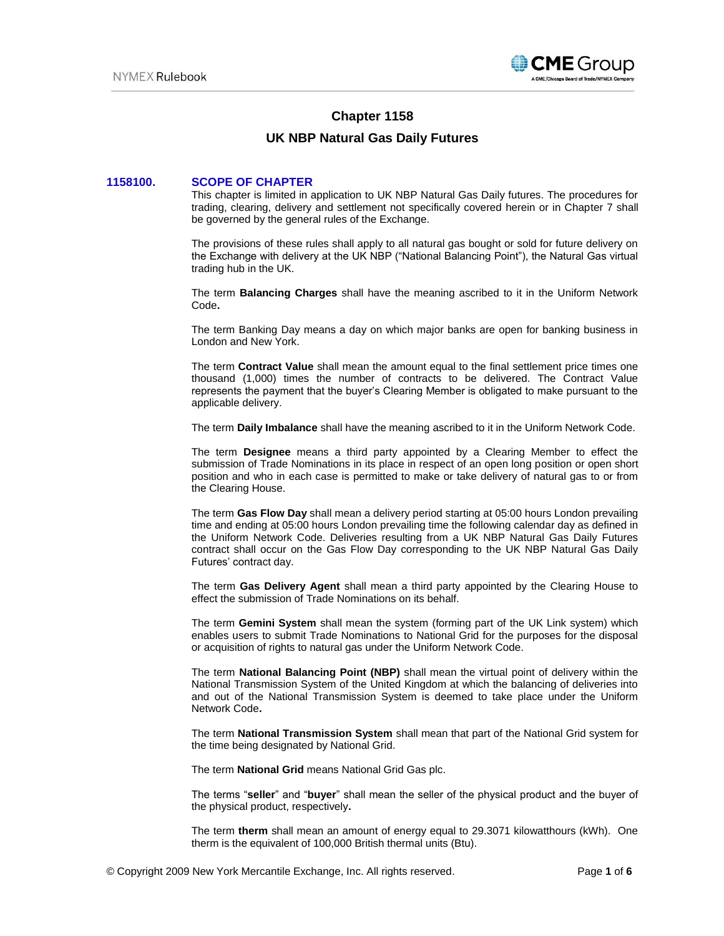

# **Chapter 1158**

# **UK NBP Natural Gas Daily Futures**

## **1158100. SCOPE OF CHAPTER**

This chapter is limited in application to UK NBP Natural Gas Daily futures. The procedures for trading, clearing, delivery and settlement not specifically covered herein or in Chapter 7 shall be governed by the general rules of the Exchange.

The provisions of these rules shall apply to all natural gas bought or sold for future delivery on the Exchange with delivery at the UK NBP ("National Balancing Point"), the Natural Gas virtual trading hub in the UK.

The term **Balancing Charges** shall have the meaning ascribed to it in the Uniform Network Code**.**

The term Banking Day means a day on which major banks are open for banking business in London and New York.

The term **Contract Value** shall mean the amount equal to the final settlement price times one thousand (1,000) times the number of contracts to be delivered. The Contract Value represents the payment that the buyer's Clearing Member is obligated to make pursuant to the applicable delivery.

The term **Daily Imbalance** shall have the meaning ascribed to it in the Uniform Network Code.

The term **Designee** means a third party appointed by a Clearing Member to effect the submission of Trade Nominations in its place in respect of an open long position or open short position and who in each case is permitted to make or take delivery of natural gas to or from the Clearing House.

The term **Gas Flow Day** shall mean a delivery period starting at 05:00 hours London prevailing time and ending at 05:00 hours London prevailing time the following calendar day as defined in the Uniform Network Code. Deliveries resulting from a UK NBP Natural Gas Daily Futures contract shall occur on the Gas Flow Day corresponding to the UK NBP Natural Gas Daily Futures' contract day.

The term **Gas Delivery Agent** shall mean a third party appointed by the Clearing House to effect the submission of Trade Nominations on its behalf.

The term **Gemini System** shall mean the system (forming part of the UK Link system) which enables users to submit Trade Nominations to National Grid for the purposes for the disposal or acquisition of rights to natural gas under the Uniform Network Code.

The term **National Balancing Point (NBP)** shall mean the virtual point of delivery within the National Transmission System of the United Kingdom at which the balancing of deliveries into and out of the National Transmission System is deemed to take place under the Uniform Network Code**.**

The term **National Transmission System** shall mean that part of the National Grid system for the time being designated by National Grid.

The term **National Grid** means National Grid Gas plc.

The terms "**seller**" and "**buyer**" shall mean the seller of the physical product and the buyer of the physical product, respectively**.**

The term **therm** shall mean an amount of energy equal to 29.3071 kilowatthours (kWh). One therm is the equivalent of 100,000 British thermal units (Btu).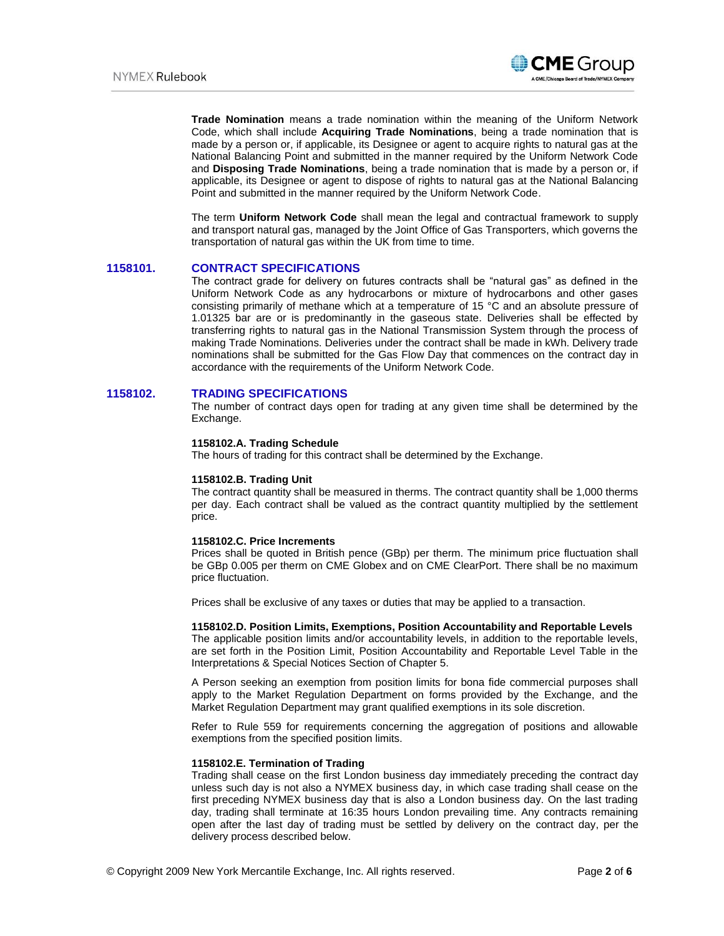

**Trade Nomination** means a trade nomination within the meaning of the Uniform Network Code, which shall include **Acquiring Trade Nominations**, being a trade nomination that is made by a person or, if applicable, its Designee or agent to acquire rights to natural gas at the National Balancing Point and submitted in the manner required by the Uniform Network Code and **Disposing Trade Nominations**, being a trade nomination that is made by a person or, if applicable, its Designee or agent to dispose of rights to natural gas at the National Balancing Point and submitted in the manner required by the Uniform Network Code.

The term **Uniform Network Code** shall mean the legal and contractual framework to supply and transport natural gas, managed by the Joint Office of Gas Transporters, which governs the transportation of natural gas within the UK from time to time.

## **1158101. CONTRACT SPECIFICATIONS**

The contract grade for delivery on futures contracts shall be "natural gas" as defined in the Uniform Network Code as any hydrocarbons or mixture of hydrocarbons and other gases consisting primarily of methane which at a temperature of 15 °C and an absolute pressure of 1.01325 bar are or is predominantly in the gaseous state. Deliveries shall be effected by transferring rights to natural gas in the National Transmission System through the process of making Trade Nominations. Deliveries under the contract shall be made in kWh. Delivery trade nominations shall be submitted for the Gas Flow Day that commences on the contract day in accordance with the requirements of the Uniform Network Code.

## **1158102. TRADING SPECIFICATIONS**

The number of contract days open for trading at any given time shall be determined by the Exchange.

#### **1158102.A. Trading Schedule**

The hours of trading for this contract shall be determined by the Exchange.

### **1158102.B. Trading Unit**

The contract quantity shall be measured in therms. The contract quantity shall be 1,000 therms per day. Each contract shall be valued as the contract quantity multiplied by the settlement price.

#### **1158102.C. Price Increments**

Prices shall be quoted in British pence (GBp) per therm. The minimum price fluctuation shall be GBp 0.005 per therm on CME Globex and on CME ClearPort. There shall be no maximum price fluctuation.

Prices shall be exclusive of any taxes or duties that may be applied to a transaction.

#### **1158102.D. Position Limits, Exemptions, Position Accountability and Reportable Levels**

The applicable position limits and/or accountability levels, in addition to the reportable levels, are set forth in the Position Limit, Position Accountability and Reportable Level Table in the Interpretations & Special Notices Section of Chapter 5.

A Person seeking an exemption from position limits for bona fide commercial purposes shall apply to the Market Regulation Department on forms provided by the Exchange, and the Market Regulation Department may grant qualified exemptions in its sole discretion.

Refer to Rule 559 for requirements concerning the aggregation of positions and allowable exemptions from the specified position limits.

#### **1158102.E. Termination of Trading**

Trading shall cease on the first London business day immediately preceding the contract day unless such day is not also a NYMEX business day, in which case trading shall cease on the first preceding NYMEX business day that is also a London business day. On the last trading day, trading shall terminate at 16:35 hours London prevailing time. Any contracts remaining open after the last day of trading must be settled by delivery on the contract day, per the delivery process described below.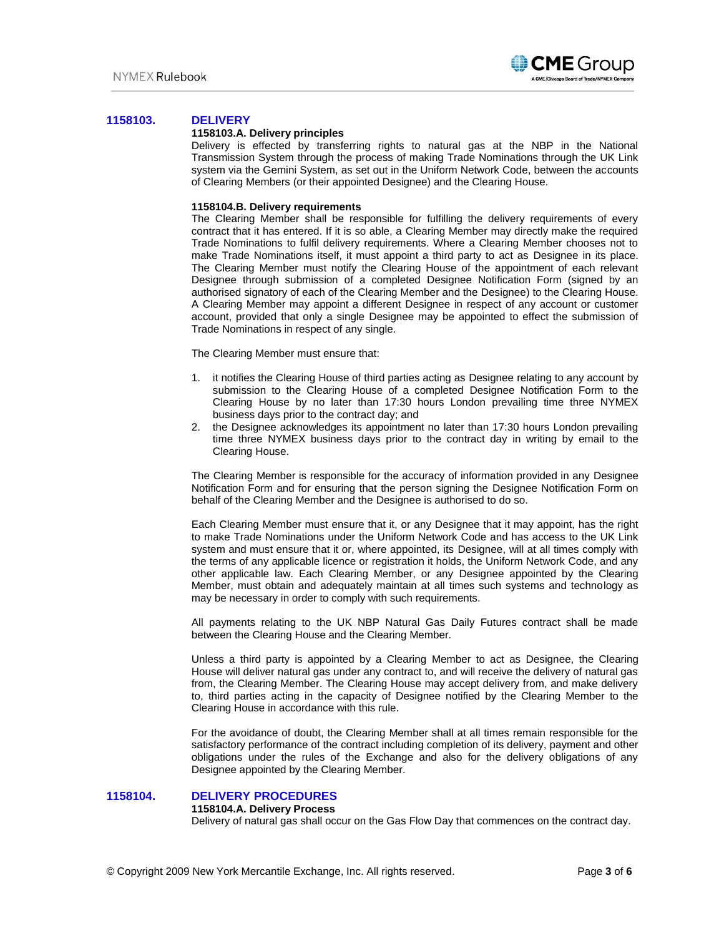

## **1158103. DELIVERY**

### **1158103.A. Delivery principles**

Delivery is effected by transferring rights to natural gas at the NBP in the National Transmission System through the process of making Trade Nominations through the UK Link system via the Gemini System, as set out in the Uniform Network Code, between the accounts of Clearing Members (or their appointed Designee) and the Clearing House.

#### **1158104.B. Delivery requirements**

The Clearing Member shall be responsible for fulfilling the delivery requirements of every contract that it has entered. If it is so able, a Clearing Member may directly make the required Trade Nominations to fulfil delivery requirements. Where a Clearing Member chooses not to make Trade Nominations itself, it must appoint a third party to act as Designee in its place. The Clearing Member must notify the Clearing House of the appointment of each relevant Designee through submission of a completed Designee Notification Form (signed by an authorised signatory of each of the Clearing Member and the Designee) to the Clearing House. A Clearing Member may appoint a different Designee in respect of any account or customer account, provided that only a single Designee may be appointed to effect the submission of Trade Nominations in respect of any single.

The Clearing Member must ensure that:

- 1. it notifies the Clearing House of third parties acting as Designee relating to any account by submission to the Clearing House of a completed Designee Notification Form to the Clearing House by no later than 17:30 hours London prevailing time three NYMEX business days prior to the contract day; and
- 2. the Designee acknowledges its appointment no later than 17:30 hours London prevailing time three NYMEX business days prior to the contract day in writing by email to the Clearing House.

The Clearing Member is responsible for the accuracy of information provided in any Designee Notification Form and for ensuring that the person signing the Designee Notification Form on behalf of the Clearing Member and the Designee is authorised to do so.

Each Clearing Member must ensure that it, or any Designee that it may appoint, has the right to make Trade Nominations under the Uniform Network Code and has access to the UK Link system and must ensure that it or, where appointed, its Designee, will at all times comply with the terms of any applicable licence or registration it holds, the Uniform Network Code, and any other applicable law. Each Clearing Member, or any Designee appointed by the Clearing Member, must obtain and adequately maintain at all times such systems and technology as may be necessary in order to comply with such requirements.

All payments relating to the UK NBP Natural Gas Daily Futures contract shall be made between the Clearing House and the Clearing Member.

Unless a third party is appointed by a Clearing Member to act as Designee, the Clearing House will deliver natural gas under any contract to, and will receive the delivery of natural gas from, the Clearing Member. The Clearing House may accept delivery from, and make delivery to, third parties acting in the capacity of Designee notified by the Clearing Member to the Clearing House in accordance with this rule.

For the avoidance of doubt, the Clearing Member shall at all times remain responsible for the satisfactory performance of the contract including completion of its delivery, payment and other obligations under the rules of the Exchange and also for the delivery obligations of any Designee appointed by the Clearing Member.

## **1158104. DELIVERY PROCEDURES**

#### **1158104.A. Delivery Process**

Delivery of natural gas shall occur on the Gas Flow Day that commences on the contract day.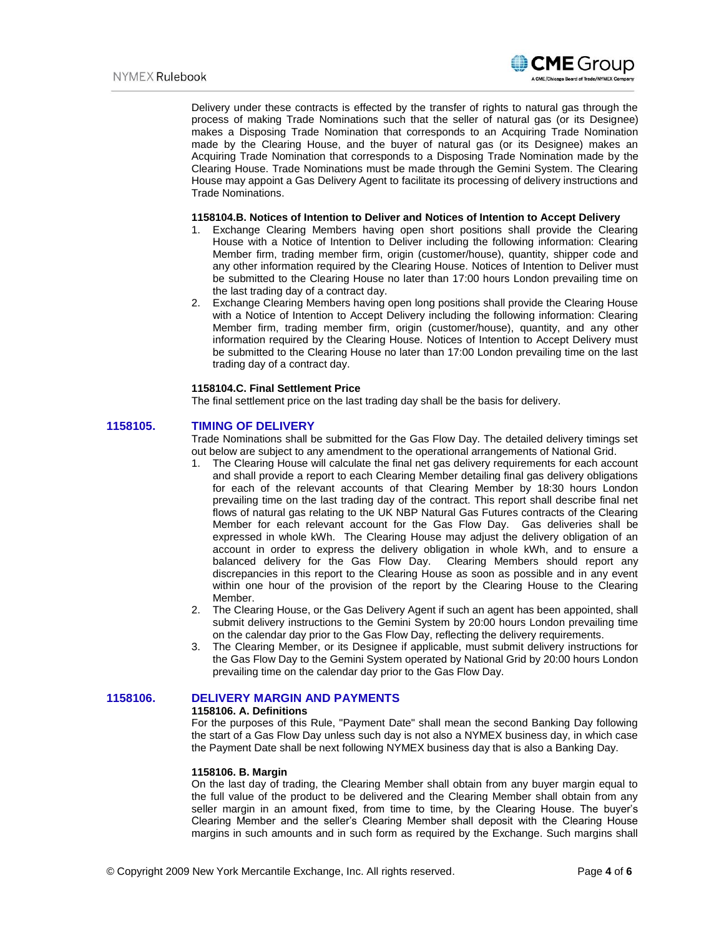

Delivery under these contracts is effected by the transfer of rights to natural gas through the process of making Trade Nominations such that the seller of natural gas (or its Designee) makes a Disposing Trade Nomination that corresponds to an Acquiring Trade Nomination made by the Clearing House, and the buyer of natural gas (or its Designee) makes an Acquiring Trade Nomination that corresponds to a Disposing Trade Nomination made by the Clearing House. Trade Nominations must be made through the Gemini System. The Clearing House may appoint a Gas Delivery Agent to facilitate its processing of delivery instructions and Trade Nominations.

#### **1158104.B. Notices of Intention to Deliver and Notices of Intention to Accept Delivery**

- 1. Exchange Clearing Members having open short positions shall provide the Clearing House with a Notice of Intention to Deliver including the following information: Clearing Member firm, trading member firm, origin (customer/house), quantity, shipper code and any other information required by the Clearing House. Notices of Intention to Deliver must be submitted to the Clearing House no later than 17:00 hours London prevailing time on the last trading day of a contract day.
- 2. Exchange Clearing Members having open long positions shall provide the Clearing House with a Notice of Intention to Accept Delivery including the following information: Clearing Member firm, trading member firm, origin (customer/house), quantity, and any other information required by the Clearing House. Notices of Intention to Accept Delivery must be submitted to the Clearing House no later than 17:00 London prevailing time on the last trading day of a contract day.

#### **1158104.C. Final Settlement Price**

The final settlement price on the last trading day shall be the basis for delivery.

#### **1158105. TIMING OF DELIVERY**

Trade Nominations shall be submitted for the Gas Flow Day. The detailed delivery timings set out below are subject to any amendment to the operational arrangements of National Grid.

- 1. The Clearing House will calculate the final net gas delivery requirements for each account and shall provide a report to each Clearing Member detailing final gas delivery obligations for each of the relevant accounts of that Clearing Member by 18:30 hours London prevailing time on the last trading day of the contract. This report shall describe final net flows of natural gas relating to the UK NBP Natural Gas Futures contracts of the Clearing Member for each relevant account for the Gas Flow Day. Gas deliveries shall be expressed in whole kWh. The Clearing House may adjust the delivery obligation of an account in order to express the delivery obligation in whole kWh, and to ensure a balanced delivery for the Gas Flow Day. Clearing Members should report any discrepancies in this report to the Clearing House as soon as possible and in any event within one hour of the provision of the report by the Clearing House to the Clearing Member.
- 2. The Clearing House, or the Gas Delivery Agent if such an agent has been appointed, shall submit delivery instructions to the Gemini System by 20:00 hours London prevailing time on the calendar day prior to the Gas Flow Day, reflecting the delivery requirements.
- 3. The Clearing Member, or its Designee if applicable, must submit delivery instructions for the Gas Flow Day to the Gemini System operated by National Grid by 20:00 hours London prevailing time on the calendar day prior to the Gas Flow Day.

## **1158106. DELIVERY MARGIN AND PAYMENTS**

#### **1158106. A. Definitions**

For the purposes of this Rule, "Payment Date" shall mean the second Banking Day following the start of a Gas Flow Day unless such day is not also a NYMEX business day, in which case the Payment Date shall be next following NYMEX business day that is also a Banking Day.

## **1158106. B. Margin**

On the last day of trading, the Clearing Member shall obtain from any buyer margin equal to the full value of the product to be delivered and the Clearing Member shall obtain from any seller margin in an amount fixed, from time to time, by the Clearing House. The buyer's Clearing Member and the seller's Clearing Member shall deposit with the Clearing House margins in such amounts and in such form as required by the Exchange. Such margins shall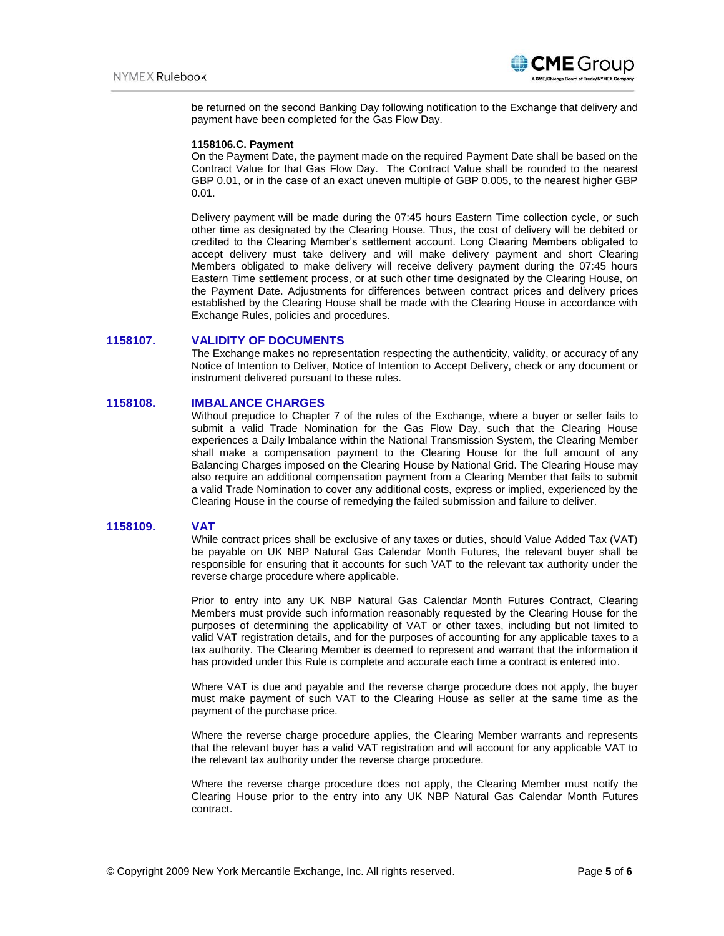

be returned on the second Banking Day following notification to the Exchange that delivery and payment have been completed for the Gas Flow Day.

#### **1158106.C. Payment**

On the Payment Date, the payment made on the required Payment Date shall be based on the Contract Value for that Gas Flow Day. The Contract Value shall be rounded to the nearest GBP 0.01, or in the case of an exact uneven multiple of GBP 0.005, to the nearest higher GBP 0.01.

Delivery payment will be made during the 07:45 hours Eastern Time collection cycle, or such other time as designated by the Clearing House. Thus, the cost of delivery will be debited or credited to the Clearing Member's settlement account. Long Clearing Members obligated to accept delivery must take delivery and will make delivery payment and short Clearing Members obligated to make delivery will receive delivery payment during the 07:45 hours Eastern Time settlement process, or at such other time designated by the Clearing House, on the Payment Date. Adjustments for differences between contract prices and delivery prices established by the Clearing House shall be made with the Clearing House in accordance with Exchange Rules, policies and procedures.

## **1158107. VALIDITY OF DOCUMENTS**

The Exchange makes no representation respecting the authenticity, validity, or accuracy of any Notice of Intention to Deliver, Notice of Intention to Accept Delivery, check or any document or instrument delivered pursuant to these rules.

## **1158108. IMBALANCE CHARGES**

Without prejudice to Chapter 7 of the rules of the Exchange, where a buyer or seller fails to submit a valid Trade Nomination for the Gas Flow Day, such that the Clearing House experiences a Daily Imbalance within the National Transmission System, the Clearing Member shall make a compensation payment to the Clearing House for the full amount of any Balancing Charges imposed on the Clearing House by National Grid. The Clearing House may also require an additional compensation payment from a Clearing Member that fails to submit a valid Trade Nomination to cover any additional costs, express or implied, experienced by the Clearing House in the course of remedying the failed submission and failure to deliver.

#### **1158109. VAT**

While contract prices shall be exclusive of any taxes or duties, should Value Added Tax (VAT) be payable on UK NBP Natural Gas Calendar Month Futures, the relevant buyer shall be responsible for ensuring that it accounts for such VAT to the relevant tax authority under the reverse charge procedure where applicable.

Prior to entry into any UK NBP Natural Gas Calendar Month Futures Contract, Clearing Members must provide such information reasonably requested by the Clearing House for the purposes of determining the applicability of VAT or other taxes, including but not limited to valid VAT registration details, and for the purposes of accounting for any applicable taxes to a tax authority. The Clearing Member is deemed to represent and warrant that the information it has provided under this Rule is complete and accurate each time a contract is entered into.

Where VAT is due and payable and the reverse charge procedure does not apply, the buyer must make payment of such VAT to the Clearing House as seller at the same time as the payment of the purchase price.

Where the reverse charge procedure applies, the Clearing Member warrants and represents that the relevant buyer has a valid VAT registration and will account for any applicable VAT to the relevant tax authority under the reverse charge procedure.

Where the reverse charge procedure does not apply, the Clearing Member must notify the Clearing House prior to the entry into any UK NBP Natural Gas Calendar Month Futures contract.